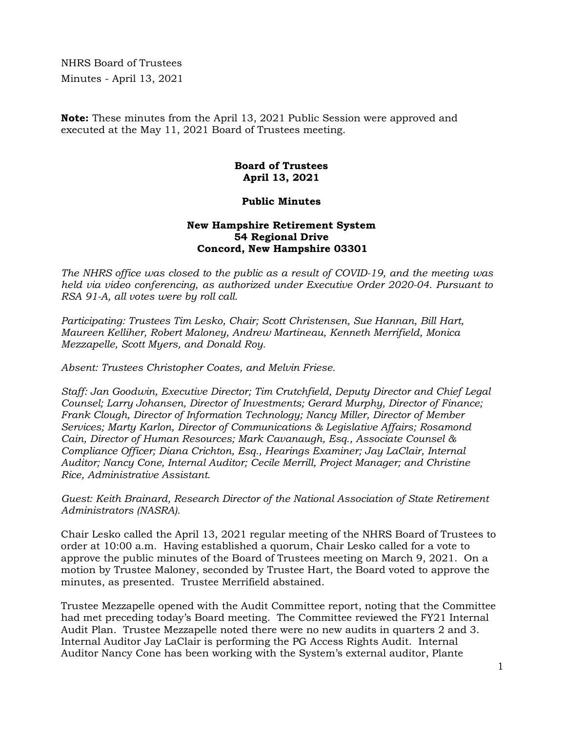NHRS Board of Trustees Minutes - April 13, 2021

**Note:** These minutes from the April 13, 2021 Public Session were approved and executed at the May 11, 2021 Board of Trustees meeting.

## **Board of Trustees April 13, 2021**

## **Public Minutes**

## **New Hampshire Retirement System 54 Regional Drive Concord, New Hampshire 03301**

*The NHRS office was closed to the public as a result of COVID-19, and the meeting was held via video conferencing, as authorized under Executive Order 2020-04. Pursuant to RSA 91-A, all votes were by roll call.* 

*Participating: Trustees Tim Lesko, Chair; Scott Christensen, Sue Hannan, Bill Hart, Maureen Kelliher, Robert Maloney, Andrew Martineau, Kenneth Merrifield, Monica Mezzapelle, Scott Myers, and Donald Roy.* 

*Absent: Trustees Christopher Coates, and Melvin Friese.*

*Staff: Jan Goodwin, Executive Director; Tim Crutchfield, Deputy Director and Chief Legal Counsel; Larry Johansen, Director of Investments; Gerard Murphy, Director of Finance; Frank Clough, Director of Information Technology; Nancy Miller, Director of Member Services; Marty Karlon, Director of Communications & Legislative Affairs; Rosamond Cain, Director of Human Resources; Mark Cavanaugh, Esq., Associate Counsel & Compliance Officer; Diana Crichton, Esq., Hearings Examiner; Jay LaClair, Internal Auditor; Nancy Cone, Internal Auditor; Cecile Merrill, Project Manager; and Christine Rice, Administrative Assistant.* 

*Guest: Keith Brainard, Research Director of the National Association of State Retirement Administrators (NASRA).* 

Chair Lesko called the April 13, 2021 regular meeting of the NHRS Board of Trustees to order at 10:00 a.m. Having established a quorum, Chair Lesko called for a vote to approve the public minutes of the Board of Trustees meeting on March 9, 2021. On a motion by Trustee Maloney, seconded by Trustee Hart, the Board voted to approve the minutes, as presented. Trustee Merrifield abstained.

Trustee Mezzapelle opened with the Audit Committee report, noting that the Committee had met preceding today's Board meeting. The Committee reviewed the FY21 Internal Audit Plan. Trustee Mezzapelle noted there were no new audits in quarters 2 and 3. Internal Auditor Jay LaClair is performing the PG Access Rights Audit. Internal Auditor Nancy Cone has been working with the System's external auditor, Plante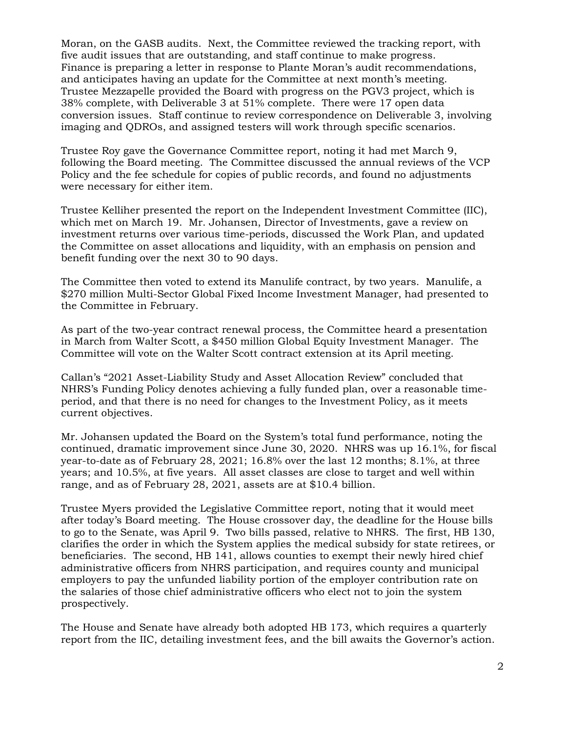Moran, on the GASB audits. Next, the Committee reviewed the tracking report, with five audit issues that are outstanding, and staff continue to make progress. Finance is preparing a letter in response to Plante Moran's audit recommendations, and anticipates having an update for the Committee at next month's meeting. Trustee Mezzapelle provided the Board with progress on the PGV3 project, which is 38% complete, with Deliverable 3 at 51% complete. There were 17 open data conversion issues. Staff continue to review correspondence on Deliverable 3, involving imaging and QDROs, and assigned testers will work through specific scenarios.

Trustee Roy gave the Governance Committee report, noting it had met March 9, following the Board meeting. The Committee discussed the annual reviews of the VCP Policy and the fee schedule for copies of public records, and found no adjustments were necessary for either item.

Trustee Kelliher presented the report on the Independent Investment Committee (IIC), which met on March 19. Mr. Johansen, Director of Investments, gave a review on investment returns over various time-periods, discussed the Work Plan, and updated the Committee on asset allocations and liquidity, with an emphasis on pension and benefit funding over the next 30 to 90 days.

The Committee then voted to extend its Manulife contract, by two years. Manulife, a \$270 million Multi-Sector Global Fixed Income Investment Manager, had presented to the Committee in February.

As part of the two-year contract renewal process, the Committee heard a presentation in March from Walter Scott, a \$450 million Global Equity Investment Manager. The Committee will vote on the Walter Scott contract extension at its April meeting.

Callan's "2021 Asset-Liability Study and Asset Allocation Review" concluded that NHRS's Funding Policy denotes achieving a fully funded plan, over a reasonable timeperiod, and that there is no need for changes to the Investment Policy, as it meets current objectives.

Mr. Johansen updated the Board on the System's total fund performance, noting the continued, dramatic improvement since June 30, 2020. NHRS was up 16.1%, for fiscal year-to-date as of February 28, 2021; 16.8% over the last 12 months; 8.1%, at three years; and 10.5%, at five years. All asset classes are close to target and well within range, and as of February 28, 2021, assets are at \$10.4 billion.

Trustee Myers provided the Legislative Committee report, noting that it would meet after today's Board meeting. The House crossover day, the deadline for the House bills to go to the Senate, was April 9. Two bills passed, relative to NHRS. The first, HB 130, clarifies the order in which the System applies the medical subsidy for state retirees, or beneficiaries. The second, HB 141, allows counties to exempt their newly hired chief administrative officers from NHRS participation, and requires county and municipal employers to pay the unfunded liability portion of the employer contribution rate on the salaries of those chief administrative officers who elect not to join the system prospectively.

The House and Senate have already both adopted HB 173, which requires a quarterly report from the IIC, detailing investment fees, and the bill awaits the Governor's action.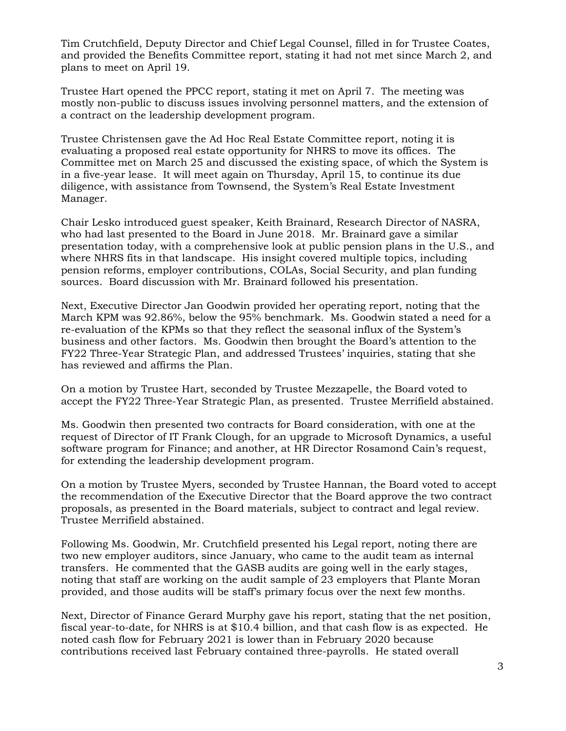Tim Crutchfield, Deputy Director and Chief Legal Counsel, filled in for Trustee Coates, and provided the Benefits Committee report, stating it had not met since March 2, and plans to meet on April 19.

Trustee Hart opened the PPCC report, stating it met on April 7. The meeting was mostly non-public to discuss issues involving personnel matters, and the extension of a contract on the leadership development program.

Trustee Christensen gave the Ad Hoc Real Estate Committee report, noting it is evaluating a proposed real estate opportunity for NHRS to move its offices. The Committee met on March 25 and discussed the existing space, of which the System is in a five-year lease. It will meet again on Thursday, April 15, to continue its due diligence, with assistance from Townsend, the System's Real Estate Investment Manager.

Chair Lesko introduced guest speaker, Keith Brainard, Research Director of NASRA, who had last presented to the Board in June 2018. Mr. Brainard gave a similar presentation today, with a comprehensive look at public pension plans in the U.S., and where NHRS fits in that landscape. His insight covered multiple topics, including pension reforms, employer contributions, COLAs, Social Security, and plan funding sources. Board discussion with Mr. Brainard followed his presentation.

Next, Executive Director Jan Goodwin provided her operating report, noting that the March KPM was 92.86%, below the 95% benchmark. Ms. Goodwin stated a need for a re-evaluation of the KPMs so that they reflect the seasonal influx of the System's business and other factors. Ms. Goodwin then brought the Board's attention to the FY22 Three-Year Strategic Plan, and addressed Trustees' inquiries, stating that she has reviewed and affirms the Plan.

On a motion by Trustee Hart, seconded by Trustee Mezzapelle, the Board voted to accept the FY22 Three-Year Strategic Plan, as presented. Trustee Merrifield abstained.

Ms. Goodwin then presented two contracts for Board consideration, with one at the request of Director of IT Frank Clough, for an upgrade to Microsoft Dynamics, a useful software program for Finance; and another, at HR Director Rosamond Cain's request, for extending the leadership development program.

On a motion by Trustee Myers, seconded by Trustee Hannan, the Board voted to accept the recommendation of the Executive Director that the Board approve the two contract proposals, as presented in the Board materials, subject to contract and legal review. Trustee Merrifield abstained.

Following Ms. Goodwin, Mr. Crutchfield presented his Legal report, noting there are two new employer auditors, since January, who came to the audit team as internal transfers. He commented that the GASB audits are going well in the early stages, noting that staff are working on the audit sample of 23 employers that Plante Moran provided, and those audits will be staff's primary focus over the next few months.

Next, Director of Finance Gerard Murphy gave his report, stating that the net position, fiscal year-to-date, for NHRS is at \$10.4 billion, and that cash flow is as expected. He noted cash flow for February 2021 is lower than in February 2020 because contributions received last February contained three-payrolls. He stated overall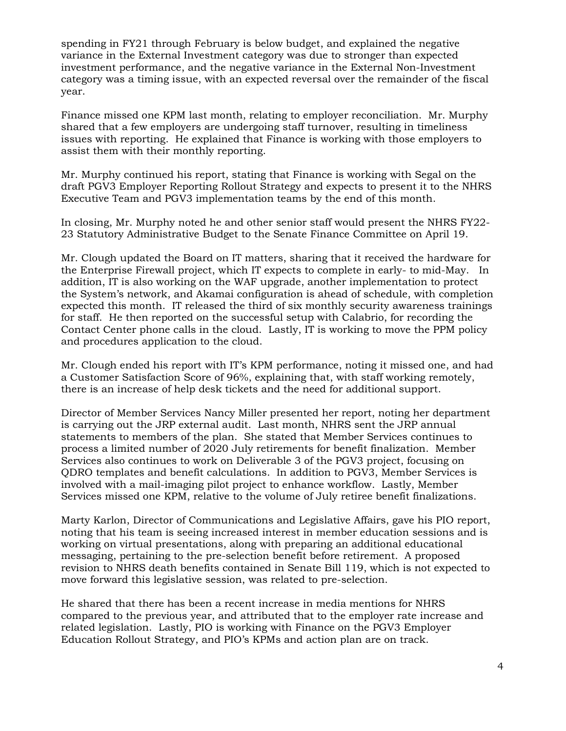spending in FY21 through February is below budget, and explained the negative variance in the External Investment category was due to stronger than expected investment performance, and the negative variance in the External Non-Investment category was a timing issue, with an expected reversal over the remainder of the fiscal year.

Finance missed one KPM last month, relating to employer reconciliation. Mr. Murphy shared that a few employers are undergoing staff turnover, resulting in timeliness issues with reporting. He explained that Finance is working with those employers to assist them with their monthly reporting.

Mr. Murphy continued his report, stating that Finance is working with Segal on the draft PGV3 Employer Reporting Rollout Strategy and expects to present it to the NHRS Executive Team and PGV3 implementation teams by the end of this month.

In closing, Mr. Murphy noted he and other senior staff would present the NHRS FY22- 23 Statutory Administrative Budget to the Senate Finance Committee on April 19.

Mr. Clough updated the Board on IT matters, sharing that it received the hardware for the Enterprise Firewall project, which IT expects to complete in early- to mid-May. In addition, IT is also working on the WAF upgrade, another implementation to protect the System's network, and Akamai configuration is ahead of schedule, with completion expected this month. IT released the third of six monthly security awareness trainings for staff. He then reported on the successful setup with Calabrio, for recording the Contact Center phone calls in the cloud. Lastly, IT is working to move the PPM policy and procedures application to the cloud.

Mr. Clough ended his report with IT's KPM performance, noting it missed one, and had a Customer Satisfaction Score of 96%, explaining that, with staff working remotely, there is an increase of help desk tickets and the need for additional support.

Director of Member Services Nancy Miller presented her report, noting her department is carrying out the JRP external audit. Last month, NHRS sent the JRP annual statements to members of the plan. She stated that Member Services continues to process a limited number of 2020 July retirements for benefit finalization. Member Services also continues to work on Deliverable 3 of the PGV3 project, focusing on QDRO templates and benefit calculations. In addition to PGV3, Member Services is involved with a mail-imaging pilot project to enhance workflow. Lastly, Member Services missed one KPM, relative to the volume of July retiree benefit finalizations.

Marty Karlon, Director of Communications and Legislative Affairs, gave his PIO report, noting that his team is seeing increased interest in member education sessions and is working on virtual presentations, along with preparing an additional educational messaging, pertaining to the pre-selection benefit before retirement. A proposed revision to NHRS death benefits contained in Senate Bill 119, which is not expected to move forward this legislative session, was related to pre-selection.

He shared that there has been a recent increase in media mentions for NHRS compared to the previous year, and attributed that to the employer rate increase and related legislation. Lastly, PIO is working with Finance on the PGV3 Employer Education Rollout Strategy, and PIO's KPMs and action plan are on track.